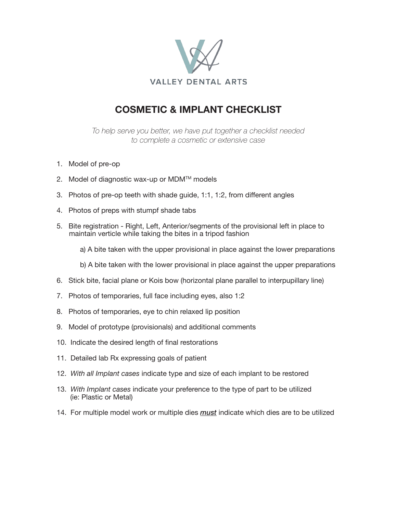

## **COSMETIC & IMPLANT CHECKLIST**

*To help serve you better, we have put together a checklist needed to complete a cosmetic or extensive case*

- 1. Model of pre-op
- 2. Model of diagnostic wax-up or MDM™ models
- 3. Photos of pre-op teeth with shade guide, 1:1, 1:2, from different angles
- 4. Photos of preps with stumpf shade tabs
- 5. Bite registration Right, Left, Anterior/segments of the provisional left in place to maintain verticle while taking the bites in a tripod fashion

a) A bite taken with the upper provisional in place against the lower preparations

b) A bite taken with the lower provisional in place against the upper preparations

- 6. Stick bite, facial plane or Kois bow (horizontal plane parallel to interpupillary line)
- 7. Photos of temporaries, full face including eyes, also 1:2
- 8. Photos of temporaries, eye to chin relaxed lip position
- 9. Model of prototype (provisionals) and additional comments
- 10. Indicate the desired length of final restorations
- 11. Detailed lab Rx expressing goals of patient
- 12. *With all Implant cases* indicate type and size of each implant to be restored
- 13. *With Implant cases* indicate your preference to the type of part to be utilized (ie: Plastic or Metal)
- 14. For multiple model work or multiple dies *must* indicate which dies are to be utilized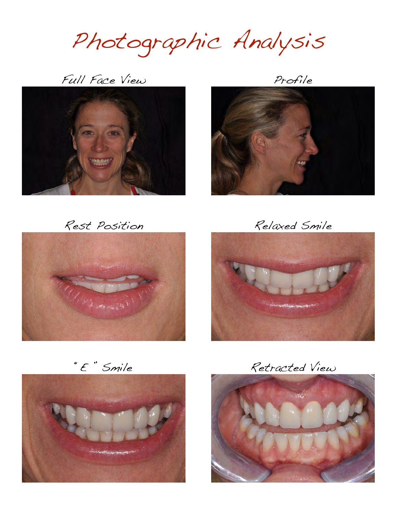Photographic Analysis

Full Face View Profile







Rest Position Relaxed Smile





"E " Smile Retracted View

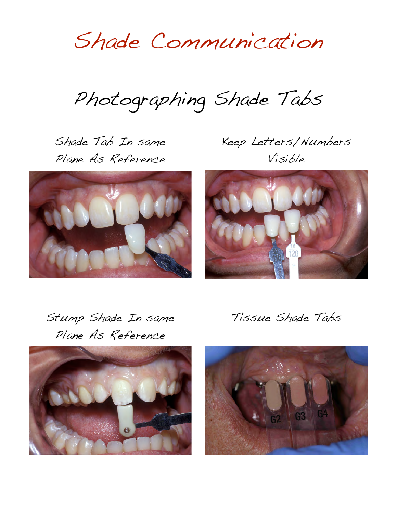Shade Communication

Photographing Shade Tabs

Shade Tab In same Plane As Reference

Keep Letters/Numbers Visible





Stump Shade In same Plane As Reference



Tissue Shade Tabs